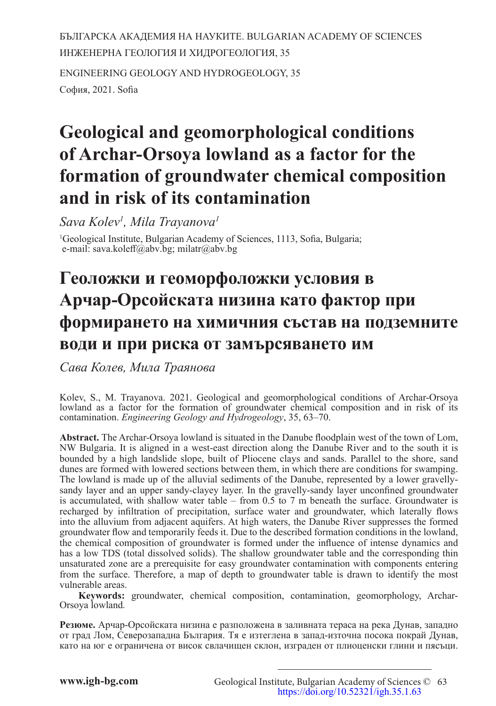БЪЛГАРСКА АКАДЕМИЯ НА НАУКИТЕ. BULGARIAN ACADEMY OF SCIENCES ИНЖЕНЕРНА ГЕОЛОГИЯ И ХИДРОГЕОЛОГИЯ, 35 ENGINEERING GEOLOGY AND HYDROGEOLOGY, 35 София, 2021. Sofia

# **Geological and geomorphological conditions of Archar-Orsoya lowland as a factor for the formation of groundwater chemical composition and in risk of its contamination**

*Sava Kolev1 , Mila Trayanova1*

<sup>1</sup>Geological Institute, Bulgarian Academy of Sciences, 1113, Sofia, Bulgaria; e-mail: sava.koleff@abv.bg; milatr@abv.bg

# **Геоложки и геоморфоложки условия в Арчар-Орсойската низина като фактор при формирането на химичния състав на подземните води и при риска от замърсяването им**

*Сава Колев, Мила Траянова* 

Kolev, S., M. Trayanova. 2021. Geological and geomorphological conditions of Archar-Orsoya lowland as a factor for the formation of groundwater chemical composition and in risk of its contamination. *Engineering Geology and Hydrogeology*, 35, 63–70.

**Abstract.** The Archar-Orsoya lowland is situated in the Danube floodplain west of the town of Lom, NW Bulgaria. It is aligned in a west-east direction along the Danube River and to the south it is bounded by a high landslide slope, built of Pliocene clays and sands. Parallel to the shore, sand dunes are formed with lowered sections between them, in which there are conditions for swamping. The lowland is made up of the alluvial sediments of the Danube, represented by a lower gravellysandy layer and an upper sandy-clayey layer. In the gravelly-sandy layer unconfined groundwater is accumulated, with shallow water table – from 0.5 to 7 m beneath the surface. Groundwater is recharged by infiltration of precipitation, surface water and groundwater, which laterally flows into the alluvium from adjacent aquifers. At high waters, the Danube River suppresses the formed groundwater flow and temporarily feeds it. Due to the described formation conditions in the lowland, the chemical composition of groundwater is formed under the influence of intense dynamics and has a low TDS (total dissolved solids). The shallow groundwater table and the corresponding thin unsaturated zone are a prerequisite for easy groundwater contamination with components entering from the surface. Therefore, a map of depth to groundwater table is drawn to identify the most vulnerable areas.

**Keywords:** groundwater, chemical composition, contamination, geomorphology, Archar-Orsoya lowland*.*

**Резюме.** Арчар-Орсойската низина е разположена в заливната тераса на река Дунав, западно от град Лом, Северозападна България. Тя е изтеглена в запад-източна посока покрай Дунав, като на юг е ограничена от висок свлачищен склон, изграден от плиоценски глини и пясъци.

Geological Institute, Bulgarian Academy of Sciences © 63 <https://doi.org/10.52321/igh.35.1.63>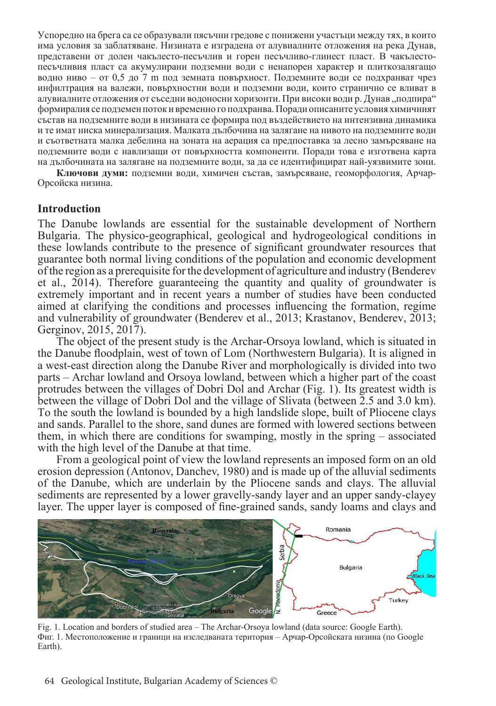Успоредно на брега са се образували пясъчни гредове с понижени участъци между тях, в които има условия за заблатяване. Низината е изградена от алувиалните отложения на река Дунав, представени от долен чакълесто-песъчлив и горен песъчливо-глинест пласт. В чакълестопесъчливия пласт са акумулирани подземни води с ненапорен характер и плиткозалягащо водно ниво – от 0,5 до 7 m под земната повърхност. Подземните води се подхранват чрез инфилтрация на валежи, повърхностни води и подземни води, които странично се вливат в алувиалните отложения от съседни водоносни хоризонти. При високи води р. Дунав "подпира" формиралия се подземен поток и временно го подхранва. Поради описаните условия химичният състав на подземните води в низината се формира под въздействието на интензивна динамика и те имат ниска минерализация. Малката дълбочина на залягане на нивото на подземните води и съответната малка дебелина на зоната на аерация са предпоставка за лесно замърсяване на подземните води с навлизащи от повърхността компоненти. Поради това е изготвена карта на дълбочината на залягане на подземните води, за да се идентифицират най-уязвимите зони.

**Ключови думи:** подземни води, химичен състав, замърсяване, геоморфология, Арчар-Орсойска низина.

#### **Introduction**

The Danube lowlands are essential for the sustainable development of Northern Bulgaria. The physico-geographical, geological and hydrogeological conditions in these lowlands contribute to the presence of significant groundwater resources that guarantee both normal living conditions of the population and economic development of the region as a prerequisite for the development of agriculture and industry (Benderev et al., 2014). Therefore guaranteeing the quantity and quality of groundwater is extremely important and in recent years a number of studies have been conducted aimed at clarifying the conditions and processes influencing the formation, regime and vulnerability of groundwater (Benderev et al., 2013; Krastanov, Benderev, 2013; Gerginov, 2015, 2017).

The object of the present study is the Archar-Orsoya lowland, which is situated in the Danube floodplain, west of town of Lom (Northwestern Bulgaria). It is aligned in a west-east direction along the Danube River and morphologically is divided into two parts – Archar lowland and Orsoya lowland, between which a higher part of the coast protrudes between the villages of Dobri Dol and Archar (Fig. 1). Its greatest width is between the village of Dobri Dol and the village of Slivata (between 2.5 and 3.0 km). To the south the lowland is bounded by a high landslide slope, built of Pliocene clays and sands. Parallel to the shore, sand dunes are formed with lowered sections between them, in which there are conditions for swamping, mostly in the spring – associated with the high level of the Danube at that time.

From a geological point of view the lowland represents an imposed form on an old erosion depression (Antonov, Danchev, 1980) and is made up of the alluvial sediments of the Danube, which are underlain by the Pliocene sands and clays. The alluvial sediments are represented by a lower gravelly-sandy layer and an upper sandy-clayey layer. The upper layer is composed of fine-grained sands, sandy loams and clays and



Fig. 1. Location and borders of studied area – The Archar-Orsoya lowland (data source: Google Earth). Фиг. 1. Местоположение и граници на изследваната територия – Арчар-Орсойската низина (по Google Earth).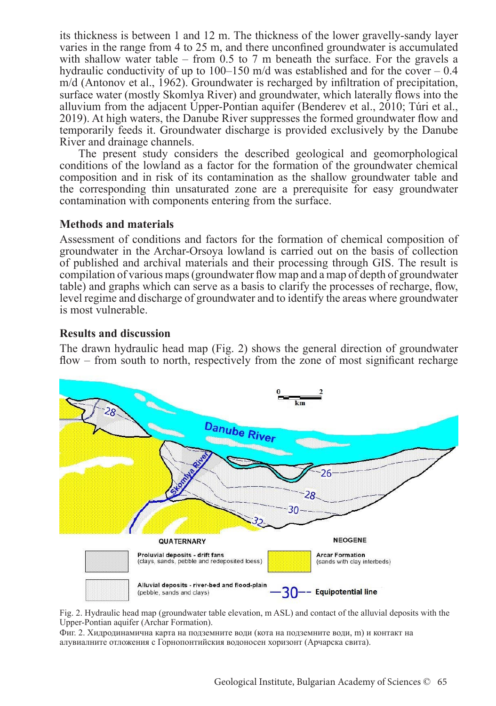its thickness is between 1 and 12 m. The thickness of the lower gravelly-sandy layer varies in the range from 4 to 25 m, and there unconfined groundwater is accumulated with shallow water table – from 0.5 to 7 m beneath the surface. For the gravels a hydraulic conductivity of up to 100–150 m/d was established and for the cover – 0.4 m/d (Antonov et al., 1962). Groundwater is recharged by infiltration of precipitation, surface water (mostly Skomlya River) and groundwater, which laterally flows into the alluvium from the adjacent Upper-Pontian aquifer (Benderev et al., 2010; Túri et al., 2019). At high waters, the Danube River suppresses the formed groundwater flow and temporarily feeds it. Groundwater discharge is provided exclusively by the Danube River and drainage channels.

The present study considers the described geological and geomorphological conditions of the lowland as a factor for the formation of the groundwater chemical composition and in risk of its contamination as the shallow groundwater table and the corresponding thin unsaturated zone are a prerequisite for easy groundwater contamination with components entering from the surface.

# **Methods and materials**

Assessment of conditions and factors for the formation of chemical composition of groundwater in the Archar-Orsoya lowland is carried out on the basis of collection of published and archival materials and their processing through GIS. The result is compilation of various maps (groundwater flow map and a map of depth of groundwater table) and graphs which can serve as a basis to clarify the processes of recharge, flow, level regime and discharge of groundwater and to identify the areas where groundwater is most vulnerable.

#### **Results and discussion**

The drawn hydraulic head map (Fig. 2) shows the general direction of groundwater flow – from south to north, respectively from the zone of most significant recharge



Fig. 2. Hydraulic head map (groundwater table elevation, m ASL) and contact of the alluvial deposits with the Upper-Pontian aquifer (Archar Formation).

Фиг. 2. Хидродинамична карта на подземните води (кота на подземните води, m) и контакт на алувиалните отложения с Горнопонтийския водоносен хоризонт (Арчарска свита).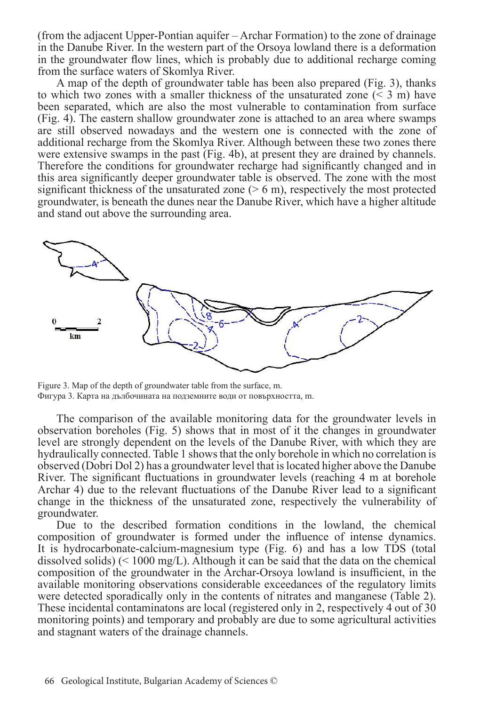(from the adjacent Upper-Pontian aquifer – Archar Formation) to the zone of drainage in the Danube River. In the western part of the Orsoya lowland there is a deformation in the groundwater flow lines, which is probably due to additional recharge coming from the surface waters of Skomlya River.

A map of the depth of groundwater table has been also prepared (Fig. 3), thanks to which two zones with a smaller thickness of the unsaturated zone  $(< 3$  m) have been separated, which are also the most vulnerable to contamination from surface (Fig. 4). The eastern shallow groundwater zone is attached to an area where swamps are still observed nowadays and the western one is connected with the zone of additional recharge from the Skomlya River. Although between these two zones there were extensive swamps in the past (Fig. 4b), at present they are drained by channels. Therefore the conditions for groundwater recharge had significantly changed and in this area significantly deeper groundwater table is observed. The zone with the most significant thickness of the unsaturated zone  $($  > 6 m), respectively the most protected groundwater, is beneath the dunes near the Danube River, which have a higher altitude and stand out above the surrounding area.



Figure 3. Map of the depth of groundwater table from the surface, m. Фигура 3. Карта на дълбочината на подземните води от повърхността, m.

The comparison of the available monitoring data for the groundwater levels in observation boreholes (Fig. 5) shows that in most of it the changes in groundwater level are strongly dependent on the levels of the Danube River, with which they are hydraulically connected. Table 1 shows that the only borehole in which no correlation is observed (Dobri Dol 2) has a groundwater level that is located higher above the Danube River. The significant fluctuations in groundwater levels (reaching 4 m at borehole Archar 4) due to the relevant fluctuations of the Danube River lead to a significant change in the thickness of the unsaturated zone, respectively the vulnerability of groundwater.

Due to the described formation conditions in the lowland, the chemical composition of groundwater is formed under the influence of intense dynamics. It is hydrocarbonate-calcium-magnesium type (Fig. 6) and has a low TDS (total dissolved solids) ( $\leq 1000 \text{ mg/L}$ ). Although it can be said that the data on the chemical composition of the groundwater in the Archar-Orsoya lowland is insufficient, in the available monitoring observations considerable exceedances of the regulatory limits were detected sporadically only in the contents of nitrates and manganese (Table 2). These incidental contaminatons are local (registered only in 2, respectively 4 out of 30 monitoring points) and temporary and probably are due to some agricultural activities and stagnant waters of the drainage channels.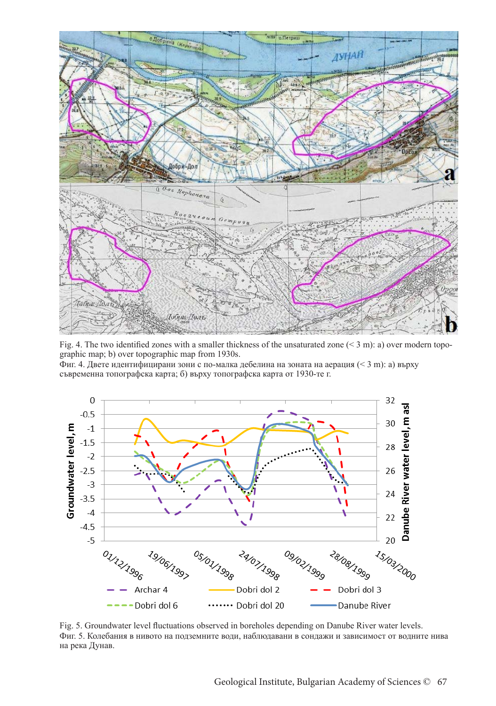

Fig. 4. The two identified zones with a smaller thickness of the unsaturated zone  $($  < 3 m): a) over modern topographic map; b) over topographic map from 1930s.

Фиг. 4. Двете идентифицирани зони с по-малка дебелина на зоната на аерация (< 3 m): a) върху съвременна топографска карта; б) върху топографска карта от 1930-те г.



Fig. 5. Groundwater level fluctuations observed in boreholes depending on Danube River water levels. Фиг. 5. Колебания в нивото на подземните води, наблюдавани в сондажи и зависимост от водните нива на река Дунав.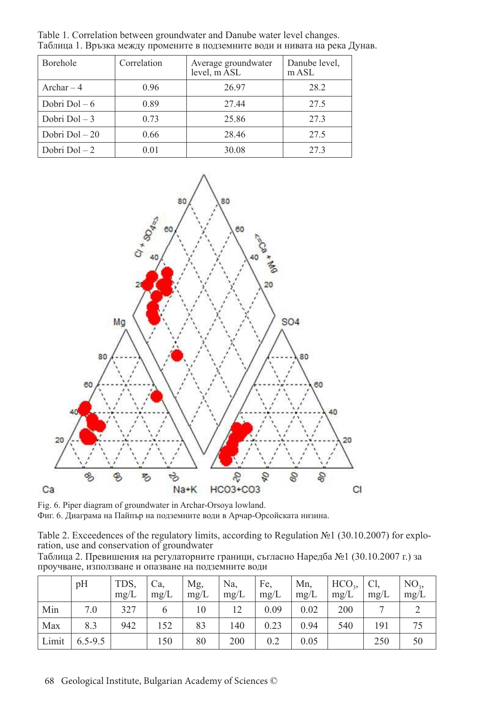| <b>Borehole</b> | Correlation | Average groundwater<br>level, m ASL | Danube level,<br>$m$ ASL |  |
|-----------------|-------------|-------------------------------------|--------------------------|--|
| Archar $-4$     | 0.96        | 26.97                               | 28.2                     |  |
| Dobri Dol $-6$  | 0.89        | 27.44                               | 27.5                     |  |
| Dobri Dol $-3$  | 0.73        | 25.86                               | 27.3                     |  |
| Dobri Dol $-20$ | 0.66        | 28.46                               | 27.5                     |  |
| Dobri Dol $-2$  | 0.01        | 30.08                               | 27.3                     |  |

Table 1. Correlation between groundwater and Danube water level changes. Таблица 1. Връзка между промените в подземните води и нивата на река Дунав.



Fig. 6. Piper diagram of groundwater in Archar-Orsoya lowland. Фиг. 6. Диаграма на Пайпър на подземните води в Арчар-Орсойската низина.

Table 2. Exceedences of the regulatory limits, according to Regulation №1 (30.10.2007) for exploration, use and conservation of groundwater

Таблица 2. Превишения на регулаторните граници, съгласно Наредба №1 (30.10.2007 г.) за проучване, използване и опазване на подземните води

|       | pH          | TDS,<br>mg/L | Ca.<br>mg/L | Mg,<br>mg/L | Na,<br>mg/L | Fe.<br>mg/L | Mn.<br>mg/L | HCO <sub>3</sub><br>mg/L | Cl.<br>mg/L | NO <sub>3</sub><br>mg/L |
|-------|-------------|--------------|-------------|-------------|-------------|-------------|-------------|--------------------------|-------------|-------------------------|
| Min   | 7.0         | 327          |             | 10          | 12          | 0.09        | 0.02        | 200                      |             |                         |
| Max   | 8.3         | 942          | 152         | 83          | 140         | 0.23        | 0.94        | 540                      | 191         |                         |
| Limit | $6.5 - 9.5$ |              | 150         | 80          | 200         | 0.2         | 0.05        |                          | 250         | 50                      |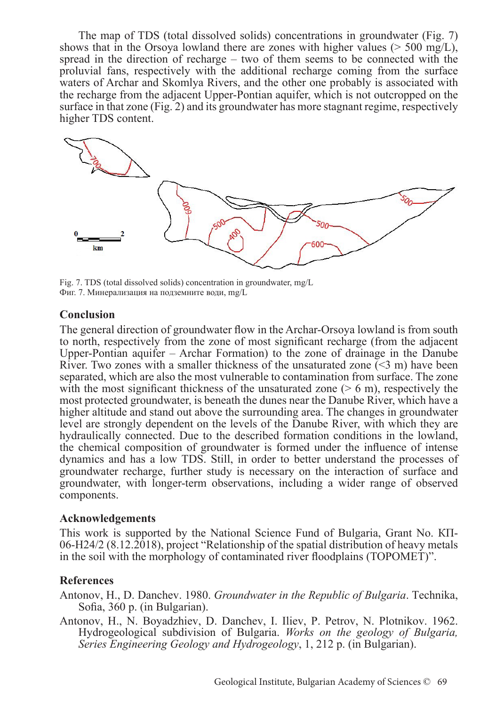The map of TDS (total dissolved solids) concentrations in groundwater (Fig. 7) shows that in the Orsoya lowland there are zones with higher values ( $> 500 \text{ mg/L}$ ), spread in the direction of recharge – two of them seems to be connected with the proluvial fans, respectively with the additional recharge coming from the surface waters of Archar and Skomlya Rivers, and the other one probably is associated with the recharge from the adjacent Upper-Pontian aquifer, which is not outcropped on the surface in that zone (Fig. 2) and its groundwater has more stagnant regime, respectively higher TDS content.



Fig. 7. TDS (total dissolved solids) concentration in groundwater, mg/L Фиг. 7. Минерализация на подземните води, mg/L

# **Conclusion**

The general direction of groundwater flow in the Archar-Orsoya lowland is from south to north, respectively from the zone of most significant recharge (from the adjacent Upper-Pontian aquifer – Archar Formation) to the zone of drainage in the Danube River. Two zones with a smaller thickness of the unsaturated zone  $(\leq 3 \text{ m})$  have been separated, which are also the most vulnerable to contamination from surface. The zone with the most significant thickness of the unsaturated zone  $($  > 6 m), respectively the most protected groundwater, is beneath the dunes near the Danube River, which have a higher altitude and stand out above the surrounding area. The changes in groundwater level are strongly dependent on the levels of the Danube River, with which they are hydraulically connected. Due to the described formation conditions in the lowland, the chemical composition of groundwater is formed under the influence of intense dynamics and has a low TDS. Still, in order to better understand the processes of groundwater recharge, further study is necessary on the interaction of surface and groundwater, with longer-term observations, including a wider range of observed components.

# **Acknowledgements**

This work is supported by the National Science Fund of Bulgaria, Grant No. КП-06-H24/2 (8.12.2018), project "Relationship of the spatial distribution of heavy metals in the soil with the morphology of contaminated river floodplains (TOPOMET)".

# **References**

- Antonov, H., D. Danchev. 1980. *Groundwater in the Republic of Bulgaria*. Technika, Sofia, 360 p. (in Bulgarian).
- Antonov, H., N. Boyadzhiev, D. Danchev, I. Iliev, P. Petrov, N. Plotnikov. 1962. Hydrogeological subdivision of Bulgaria. *Works on the geology of Bulgaria, Series Engineering Geology and Hydrogeology*, 1, 212 p. (in Bulgarian).